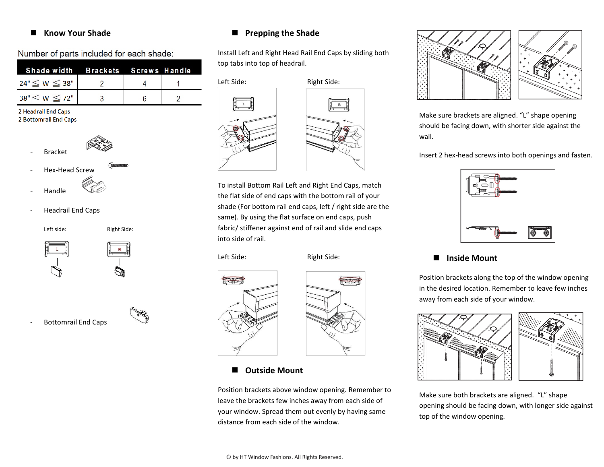#### **Know Your Shade**

Number of parts included for each shade:

| Shade width Brackets Screws Handle |  |  |
|------------------------------------|--|--|
| $24" \leq W \leq 38"$              |  |  |
| 38" < W < 72"                      |  |  |

2 Headrail End Caps 2 Bottomrail End Caps



- **Bracket**
- Hex-Head Screw
- **Handle**
- Headrail End Caps

Left side: Right Side:



































- Bottomrail End Caps

## top tabs into top of headrail.

**Prepping the Shade**

Install Left and Right Head Rail End Caps by sliding both





To install Bottom Rail Left and Right End Caps, match the flat side of end caps with the bottom rail of your shade (For bottom rail end caps, left / right side are the same). By using the flat surface on end caps, push fabric/ stiffener against end of rail and slide end caps into side of rail.

Left Side: Right Side:

f<del>or</del>





Position brackets above window opening. Remember to leave the brackets few inches away from each side of your window. Spread them out evenly by having same distance from each side of the window.



Make sure brackets are aligned. "L" shape opening should be facing down, with shorter side against the wall.

Insert 2 hex-head screws into both openings and fasten.



#### **Inside Mount**

Position brackets along the top of the window opening in the desired location. Remember to leave few inches away from each side of your window.



Make sure both brackets are aligned. "L" shape opening should be facing down, with longer side against top of the window opening.